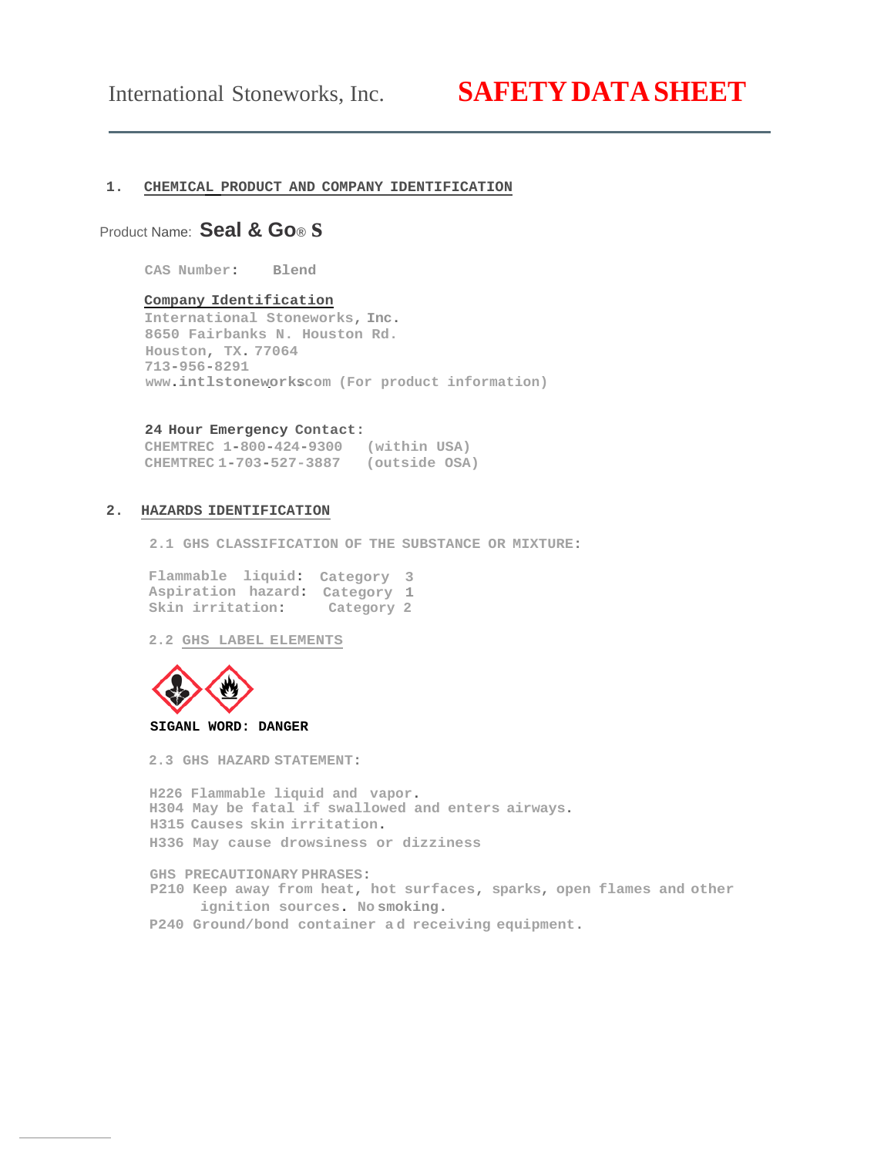# International Stoneworks, Inc. **SAFETYDATASHEET**

# **1. CHEMICAL PRODUCT AND COMPANY IDENTIFICATION**

# Product Name: **Seal & Go® s**

**CAS Number: Blend** 

# **Company Identification**

**International Stoneworks, Inc. 8650 Fairbanks N. Houston Rd. Houston, TX. 77064 713-956-8291 [www.intlstoneworks.com](http://www.intlstoneworks.com/) (For product information)**

#### **24 Hour Emergency Contact:**

**CHEMTREC 1-800-424-9300 (within USA) CHEMTREC 1-703-527-3887 (outside OSA)**

# **2. HAZARDS IDENTIFICATION**

**2.1 GHS CLASSIFICATION OF THE SUBSTANCE OR MIXTURE:**

**Flammable liquid: Category 3 Aspiration hazard: Category 1 Skin irritation: Category 2**

**2.2 GHS LABEL ELEMENTS**



#### **SIGANL WORD: DANGER**

**2.3 GHS HAZARD STATEMENT:**

**H226 Flammable liquid and vapor. H304 May be fatal if swallowed and enters airways. H315 Causes skin irritation. H336 May cause drowsiness or dizziness**

**GHS PRECAUTIONARY PHRASES: P210 Keep away from heat, hot surfaces, sparks, open flames and other ignition sources. No smoking.**

**P240 Ground/bond container a d receiving equipment.**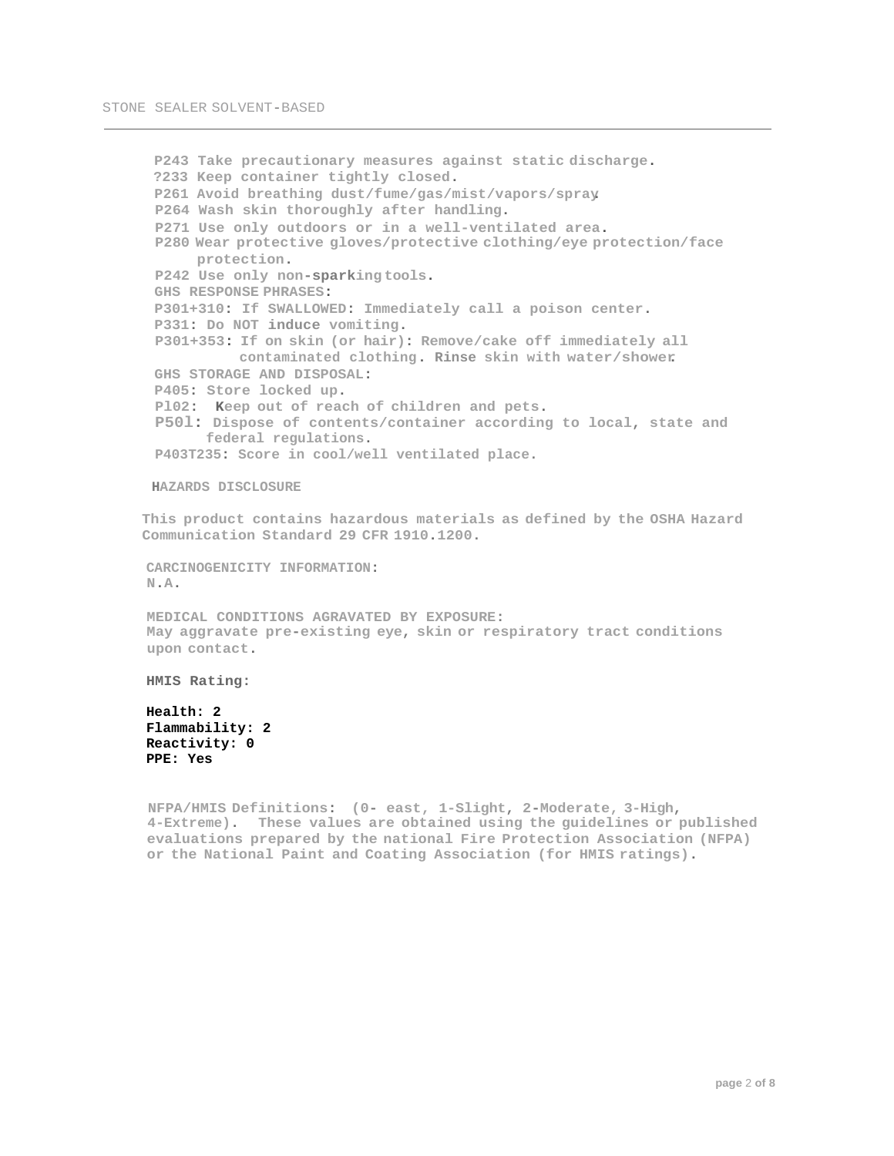```
P243 Take precautionary measures against static discharge.
?233 Keep container tightly closed.
P261 Avoid breathing dust/fume/gas/mist/vapors/spray. 
P264 Wash skin thoroughly after handling.
P271 Use only outdoors or in a well-ventilated area.
P280 Wear protective gloves/protective clothing/eye protection/face 
     protection.
P242 Use only non-sparking tools. 
GHS RESPONSE PHRASES:
P301+310: If SWALLOWED: Immediately call a poison center.
P331: Do NOT induce vomiting.
P301+353: If on skin (or hair): Remove/cake off immediately all 
          contaminated clothing. Rinse skin with water/shower.
GHS STORAGE AND DISPOSAL:
P405: Store locked up.
Pl02: Keep out of reach of children and pets.
P50l: Dispose of contents/container according to local, state and
      federal regulations.
P403T235: Score in cool/well ventilated place.
```
**HAZARDS DISCLOSURE**

**This product contains hazardous materials as defined by the OSHA Hazard Communication Standard 29 CFR 1910.1200.**

**CARCINOGENICITY INFORMATION: N.A.**

**MEDICAL CONDITIONS AGRAVATED BY EXPOSURE: May aggravate pre-existing eye, skin or respiratory tract conditions upon contact.**

**HMIS Rating:**

**Health: 2 Flammability: 2 Reactivity: 0 PPE: Yes**

**NFPA/HMIS Definitions: (0- east, 1-Slight, 2-Moderate, 3-High, 4-Extreme). These values are obtained using the guidelines or published evaluations prepared by the national Fire Protection Association (NFPA) or the National Paint and Coating Association (for HMIS ratings).**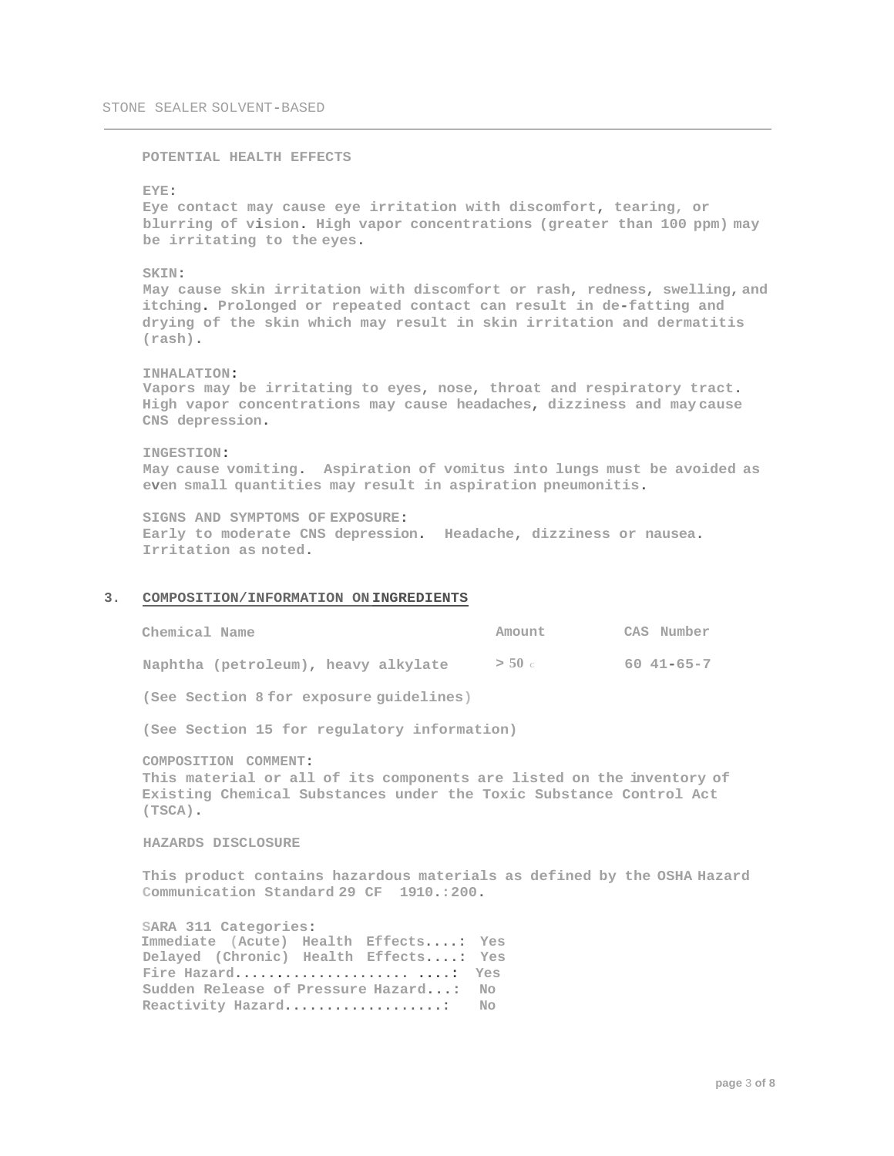**POTENTIAL HEALTH EFFECTS**

#### **EYE:**

**Eye contact may cause eye irritation with discomfort, tearing, or blurring of vision. High vapor concentrations (greater than 100 ppm) may be irritating to the eyes.**

#### **SKIN:**

**May cause skin irritation with discomfort or rash, redness, swelling, and itching. Prolonged or repeated contact can result in de-fatting and drying of the skin which may result in skin irritation and dermatitis (rash).**

#### **INHALATION:**

**Vapors may be irritating to eyes, nose, throat and respiratory tract. High vapor concentrations may cause headaches, dizziness and may cause CNS depression.**

# **INGESTION: May cause vomiting. Aspiration of vomitus into lungs must be avoided as even small quantities may result in aspiration pneumonitis.**

**SIGNS AND SYMPTOMS OF EXPOSURE: Early to moderate CNS depression. Headache, dizziness or nausea. Irritation as noted.**

#### **3. COMPOSITION/INFORMATION ON INGREDIENTS**

| Chemical Name                           | Amount   | CAS Number |
|-----------------------------------------|----------|------------|
| Naphtha (petroleum), heavy alkylate     | $>$ 50 c | 60 41-65-7 |
| (See Section 8 for exposure quidelines) |          |            |

**(See Section 15 for regulatory information)**

**COMPOSITION COMMENT: This material or all of its components are listed on the inventory of Existing Chemical Substances under the Toxic Substance Control Act (TSCA).**

#### **HAZARDS DISCLOSURE**

**This product contains hazardous materials as defined by the OSHA Hazard Communication Standard 29 CF 1910.:200.**

**SARA 311 Categories: Immediate (Acute) Health Effects....: Yes Delayed (Chronic) Health Effects....: Yes Fire Hazard..................... ....: Yes Sudden Release of Pressure Hazard...: No Reactivity Hazard...................: No**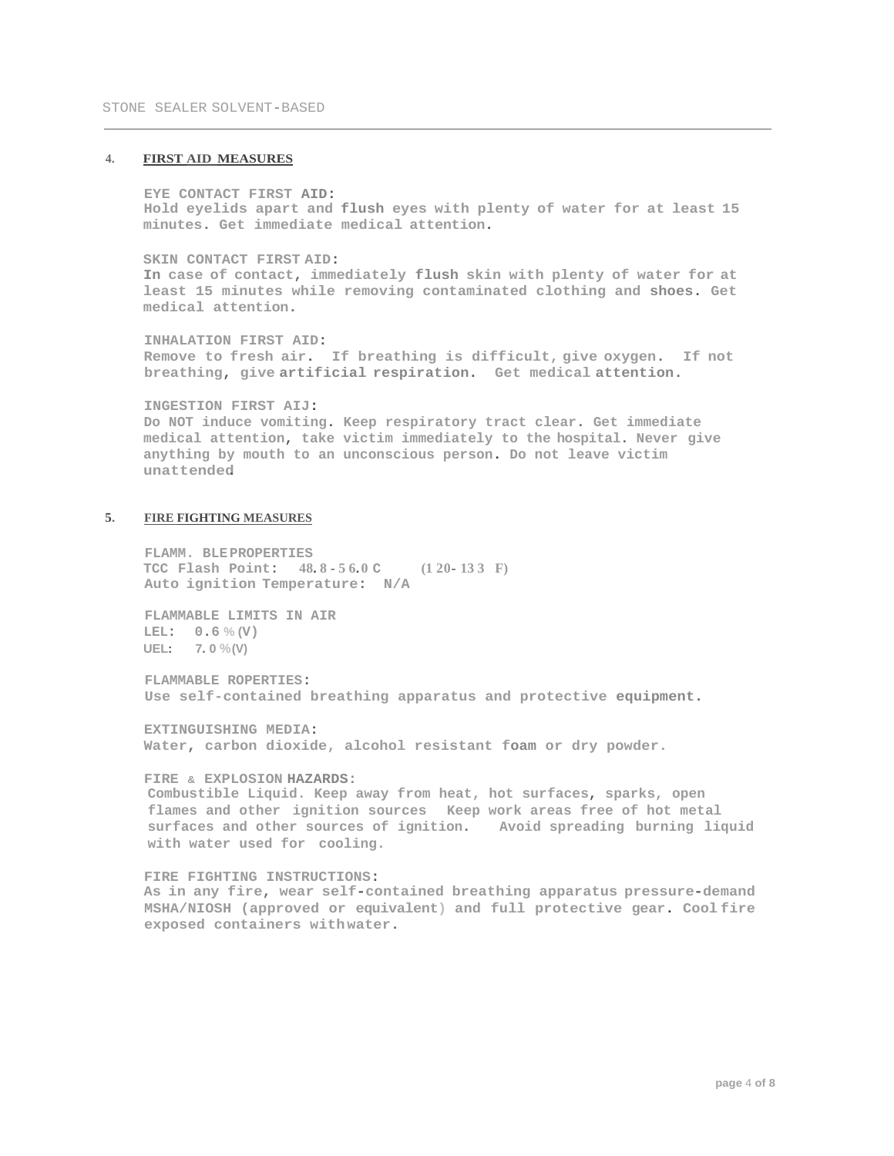# **4. FIRST AID MEASURES**

**EYE CONTACT FIRST AID: Hold eyelids apart and flush eyes with plenty of water for at least 15 minutes. Get immediate medical attention.**

**SKIN CONTACT FIRST AID: In case of contact, immediately flush skin with plenty of water for at least 15 minutes while removing contaminated clothing and shoes. Get medical attention.**

**INHALATION FIRST AID: Remove to fresh air. If breathing is difficult, give oxygen. If not breathing, give artificial respiration. Get medical attention.**

**INGESTION FIRST AIJ: Do NOT induce vomiting. Keep respiratory tract clear. Get immediate medical attention, take victim immediately to the hospital. Never give anything by mouth to an unconscious person. Do not leave victim unattended.**

# **5. FIRE FIGHTING MEASURES**

**FLAMM. BLEPROPERTIES TCC Flash Point: 48. 8 - 5 6. 0 C (1 20- 13 3 F) Auto ignition Temperature: N/A**

**FLAMMABLE LIMITS IN AIR LEL: 0.6 % (V) UEL: 7. 0 %(V)**

**FLAMMABLE ROPERTIES: Use self-contained breathing apparatus and protective equipment.**

**EXTINGUISHING MEDIA: Water, carbon dioxide, alcohol resistant foam or dry powder.**

#### **FIRE & EXPLOSION HAZARDS:**

**Combustible Liquid. Keep away from heat, hot surfaces, sparks, open flames and other ignition sources Keep work areas free of hot metal surfaces and other sources of ignition. Avoid spreading burning liquid with water used for cooling.**

# **FIRE FIGHTING INSTRUCTIONS:**

**As in any fire, wear self-contained breathing apparatus pressure-demand MSHA/NIOSH (approved or equivalent) and full protective gear. Cool fire exposed containers with water.**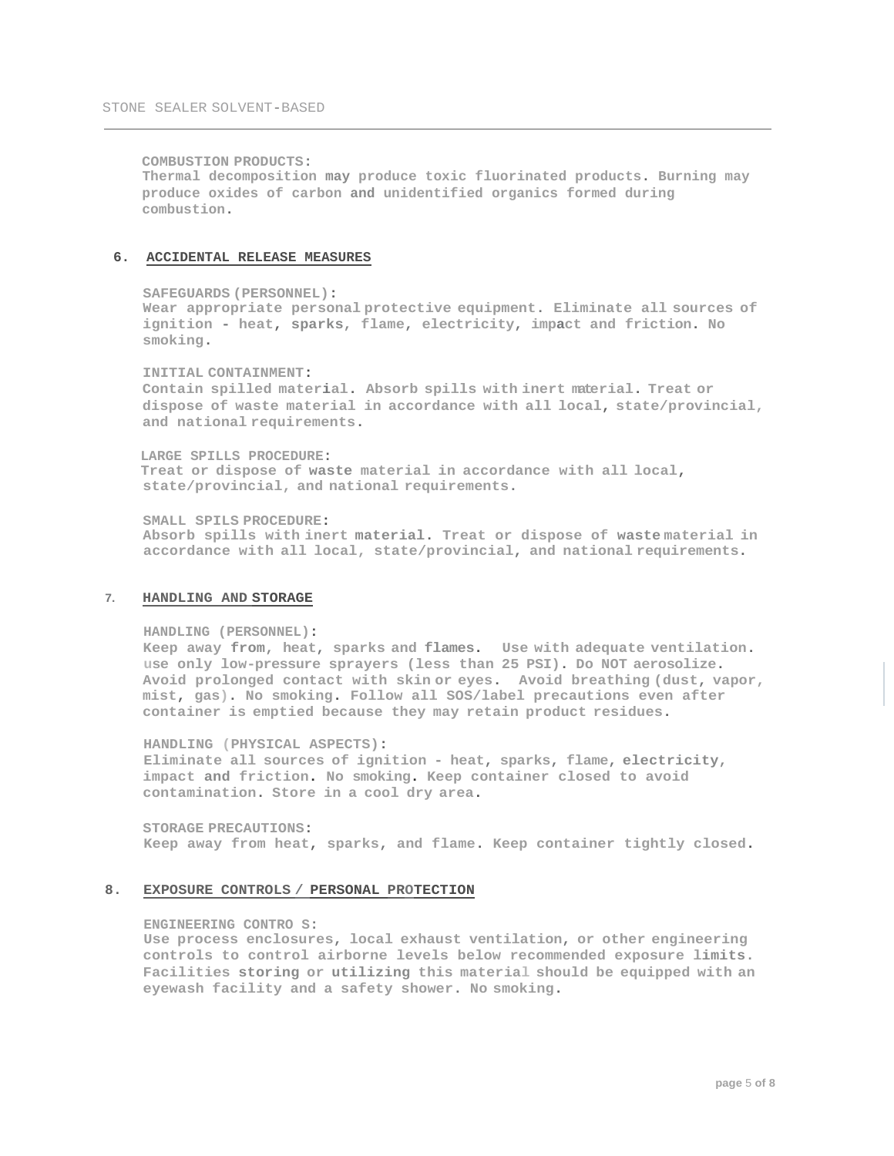**COMBUSTION PRODUCTS: Thermal decomposition may produce toxic fluorinated products. Burning may produce oxides of carbon and unidentified organics formed during combustion.**

#### **6. ACCIDENTAL RELEASE MEASURES**

#### **SAFEGUARDS (PERSONNEL):**

**Wear appropriate personal protective equipment. Eliminate all sources of ignition - heat, sparks, flame, electricity, impact and friction. No smoking.**

#### **INITIAL CONTAINMENT:**

**Contain spilled material. Absorb spills with inert material. Treat or dispose of waste material in accordance with all local, state/provincial, and national requirements.**

**LARGE SPILLS PROCEDURE: Treat or dispose of waste material in accordance with all local, state/provincial, and national requirements.**

**SMALL SPILS PROCEDURE: Absorb spills with inert material. Treat or dispose of waste material in accordance with all local, state/provincial, and national requirements.**

#### **7. HANDLING AND STORAGE**

#### **HANDLING (PERSONNEL):**

**Keep away from, heat, sparks and flames. Use with adequate ventilation. use only low-pressure sprayers (less than 25 PSI). Do NOT aerosolize. Avoid prolonged contact with skin or eyes. Avoid breathing (dust, vapor, mist, gas). No smoking. Follow all SOS/label precautions even after container is emptied because they may retain product residues.**

**HANDLING (PHYSICAL ASPECTS): Eliminate all sources of ignition - heat, sparks, flame, electricity, impact and friction. No smoking. Keep container closed to avoid contamination. Store in a cool dry area.**

**STORAGE PRECAUTIONS: Keep away from heat, sparks, and flame. Keep container tightly closed.**

# **8. EXPOSURE CONTROLS / PERSONAL PROTECTION**

#### **ENGINEERING CONTRO S:**

**Use process enclosures, local exhaust ventilation, or other engineering controls to control airborne levels below recommended exposure limits. Facilities storing or utilizing this material should be equipped with an eyewash facility and a safety shower. No smoking.**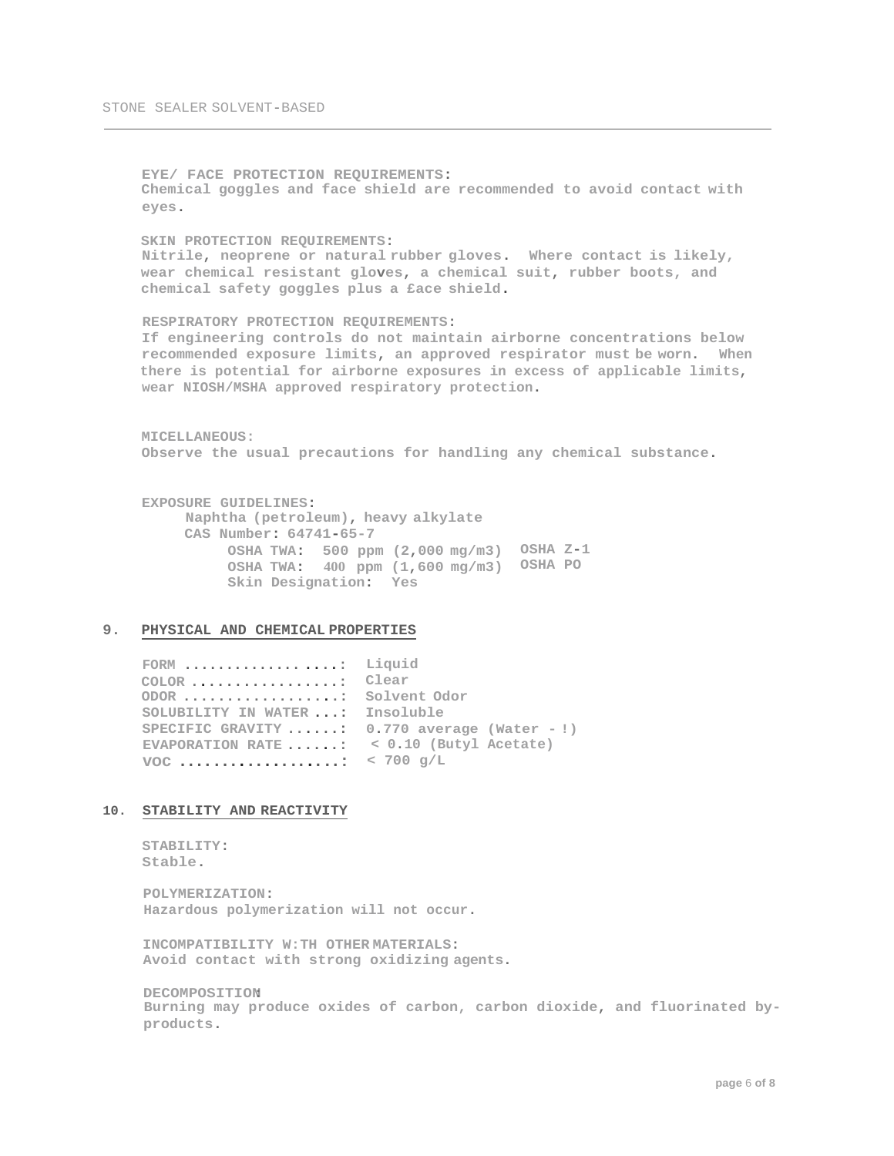**EYE/ FACE PROTECTION REQUIREMENTS: Chemical goggles and face shield are recommended to avoid contact with eyes. SKIN PROTECTION REQUIREMENTS: Nitrile, neoprene or natural rubber gloves. Where contact is likely, wear chemical resistant gloves, a chemical suit, rubber boots, and chemical safety goggles plus a £ace shield. RESPIRATORY PROTECTION REQUIREMENTS: If engineering controls do not maintain airborne concentrations below recommended exposure limits, an approved respirator must be worn. When there is potential for airborne exposures in excess of applicable limits, wear NIOSH/MSHA approved respiratory protection. MICELLANEOUS: Observe the usual precautions for handling any chemical substance. EXPOSURE GUIDELINES: Naphtha (petroleum), heavy alkylate CAS Number: 64741-65-7 OSHA TWA: 500 ppm (2,000 mg/m3) OSHA Z-1 OSHA TWA: 400 ppm (1,600 mg/m3) OSHA PO Skin Designation: Yes**

#### **9. PHYSICAL AND CHEMICAL PROPERTIES**

**FORM .............. ....: Liquid COLOR .................: Clear ODOR ..................: Solvent Odor SOLUBILITY IN WATER ...: Insoluble SPECIFIC GRAVITY ......: 0.770 average (Water - !) EVAPORATION RATE ......: < 0.10 (Butyl Acetate) voc . . . . . . . . . . . . . . . . . . . : < 700 g/L**

#### **10. STABILITY AND REACTIVITY**

```
STABILITY:
Stable.
```
**POLYMERIZATION: Hazardous polymerization will not occur.**

**INCOMPATIBILITY W:TH OTHER MATERIALS: Avoid contact with strong oxidizing agents.**

**DECOMPOSITION: Burning may produce oxides of carbon, carbon dioxide, and fluorinated byproducts.**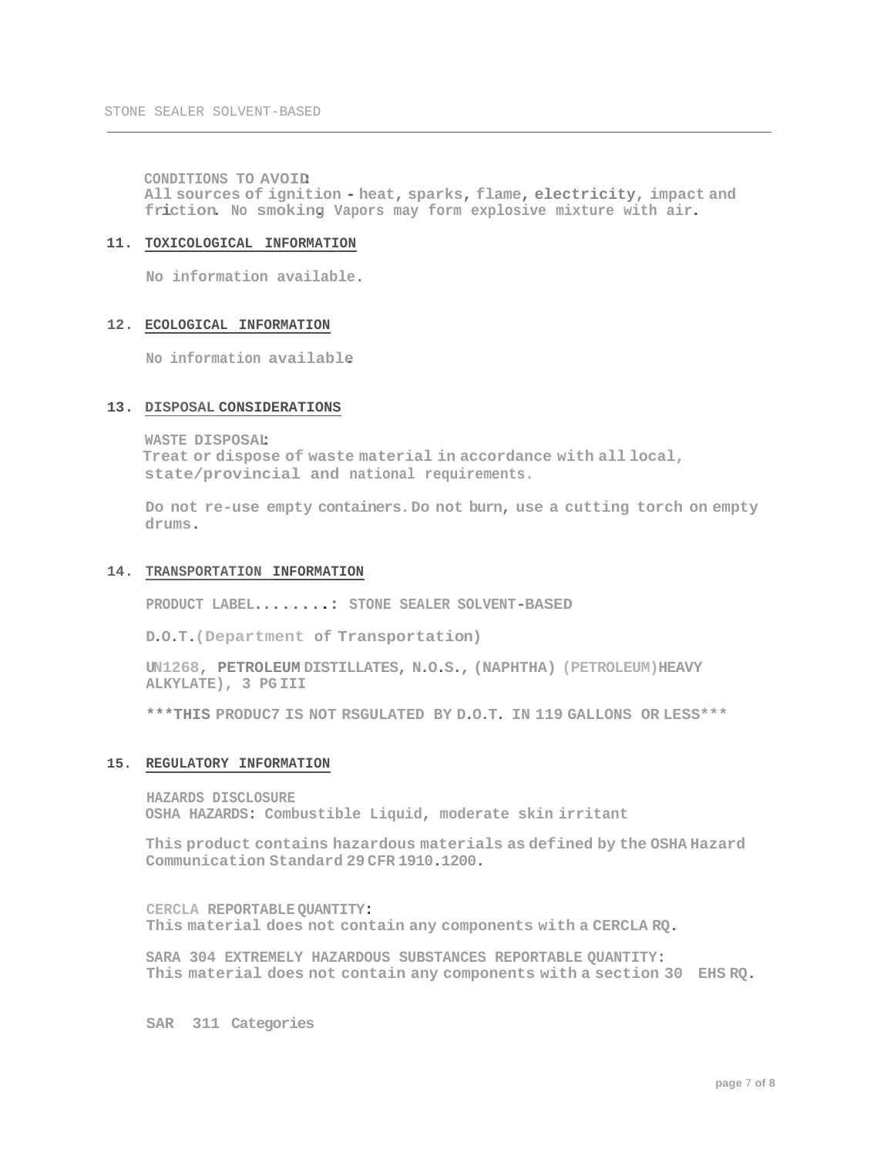**CONDITIONS TO AVOID: All sources of ignition - heat, sparks, flame, electricity, impact and**  friction. No smoking Vapors may form explosive mixture with air.

# **11. TOXICOLOGICAL INFORMATION**

**No information available.**

# **12. ECOLOGICAL INFORMATION**

**No information available.**

# **13. DISPOSAL CONSIDERATIONS**

**WASTE DISPOSAL: Treat or dispose of waste material in accordance with all local, state/provincial and national requirements.**

**Do not re-use empty containers.Do not burn, use a cutting torch on empty drums.**

# **14. TRANSPORTATION INFORMATION**

**PRODUCT LABEL........: STONE SEALER SOLVENT-BASED**

**D.O.T.(Department of Transportation)**

**UN1268, PETROLEUM DISTILLATES, N.O.S., (NAPHTHA) (PETROLEUM)HEAVY ALKYLATE), 3 PG III**

**\*\*\*THIS PRODUC7 IS NOT RSGULATED BY D.O.T. IN 119 GALLONS OR LESS\*\*\***

# **15. REGULATORY INFORMATION**

**HAZARDS DISCLOSURE OSHA HAZARDS: Combustible Liquid, moderate skin irritant**

**This product contains hazardous materials as defined by the OSHA Hazard Communication Standard 29 CFR 1910.1200.**

**CERCLA REPORTABLE QUANTITY: This material does not contain any components with a CERCLA RQ.**

**SARA 304 EXTREMELY HAZARDOUS SUBSTANCES REPORTABLE QUANTITY: This material does not contain any components with a section 30 EHS RQ.**

**SAR 311 Categories**